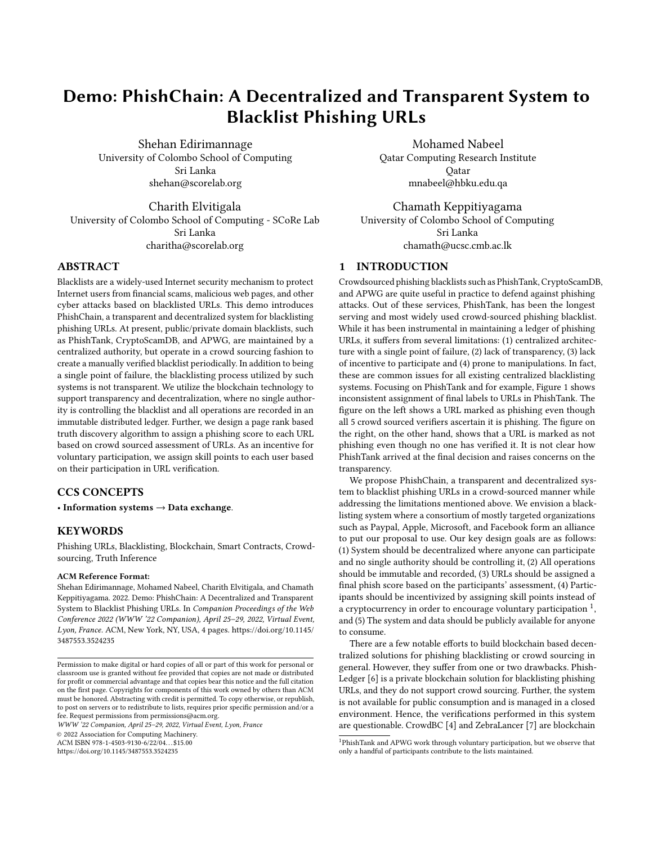# Demo: PhishChain: A Decentralized and Transparent System to Blacklist Phishing URLs

Shehan Edirimannage University of Colombo School of Computing Sri Lanka shehan@scorelab.org

Charith Elvitigala University of Colombo School of Computing - SCoRe Lab Sri Lanka charitha@scorelab.org

# ABSTRACT

Blacklists are a widely-used Internet security mechanism to protect Internet users from financial scams, malicious web pages, and other cyber attacks based on blacklisted URLs. This demo introduces PhishChain, a transparent and decentralized system for blacklisting phishing URLs. At present, public/private domain blacklists, such as PhishTank, CryptoScamDB, and APWG, are maintained by a centralized authority, but operate in a crowd sourcing fashion to create a manually verified blacklist periodically. In addition to being a single point of failure, the blacklisting process utilized by such systems is not transparent. We utilize the blockchain technology to support transparency and decentralization, where no single authority is controlling the blacklist and all operations are recorded in an immutable distributed ledger. Further, we design a page rank based truth discovery algorithm to assign a phishing score to each URL based on crowd sourced assessment of URLs. As an incentive for voluntary participation, we assign skill points to each user based on their participation in URL verification.

# CCS CONCEPTS

• Information systems  $\rightarrow$  Data exchange.

# **KEYWORDS**

Phishing URLs, Blacklisting, Blockchain, Smart Contracts, Crowdsourcing, Truth Inference

#### ACM Reference Format:

Shehan Edirimannage, Mohamed Nabeel, Charith Elvitigala, and Chamath Keppitiyagama. 2022. Demo: PhishChain: A Decentralized and Transparent System to Blacklist Phishing URLs. In Companion Proceedings of the Web Conference 2022 (WWW '22 Companion), April 25–29, 2022, Virtual Event, Lyon, France. ACM, New York, NY, USA, [4](#page-3-0) pages. [https://doi.org/10.1145/](https://doi.org/10.1145/3487553.3524235) [3487553.3524235](https://doi.org/10.1145/3487553.3524235)

WWW '22 Companion, April 25–29, 2022, Virtual Event, Lyon, France

© 2022 Association for Computing Machinery.

ACM ISBN 978-1-4503-9130-6/22/04. . . \$15.00

<https://doi.org/10.1145/3487553.3524235>

Mohamed Nabeel Qatar Computing Research Institute Qatar mnabeel@hbku.edu.qa

Chamath Keppitiyagama University of Colombo School of Computing Sri Lanka chamath@ucsc.cmb.ac.lk

# 1 INTRODUCTION

Crowdsourced phishing blacklists such as PhishTank, CryptoScamDB, and APWG are quite useful in practice to defend against phishing attacks. Out of these services, PhishTank, has been the longest serving and most widely used crowd-sourced phishing blacklist. While it has been instrumental in maintaining a ledger of phishing URLs, it suffers from several limitations: (1) centralized architecture with a single point of failure, (2) lack of transparency, (3) lack of incentive to participate and (4) prone to manipulations. In fact, these are common issues for all existing centralized blacklisting systems. Focusing on PhishTank and for example, Figure [1](#page-1-0) shows inconsistent assignment of final labels to URLs in PhishTank. The figure on the left shows a URL marked as phishing even though all 5 crowd sourced verifiers ascertain it is phishing. The figure on the right, on the other hand, shows that a URL is marked as not phishing even though no one has verified it. It is not clear how PhishTank arrived at the final decision and raises concerns on the transparency.

We propose PhishChain, a transparent and decentralized system to blacklist phishing URLs in a crowd-sourced manner while addressing the limitations mentioned above. We envision a blacklisting system where a consortium of mostly targeted organizations such as Paypal, Apple, Microsoft, and Facebook form an alliance to put our proposal to use. Our key design goals are as follows: (1) System should be decentralized where anyone can participate and no single authority should be controlling it, (2) All operations should be immutable and recorded, (3) URLs should be assigned a final phish score based on the participants' assessment, (4) Participants should be incentivized by assigning skill points instead of a cryptocurrency in order to encourage voluntary participation  $1$ , and (5) The system and data should be publicly available for anyone to consume.

There are a few notable efforts to build blockchain based decentralized solutions for phishing blacklisting or crowd sourcing in general. However, they suffer from one or two drawbacks. Phish-Ledger [\[6\]](#page-3-1) is a private blockchain solution for blacklisting phishing URLs, and they do not support crowd sourcing. Further, the system is not available for public consumption and is managed in a closed environment. Hence, the verifications performed in this system are questionable. CrowdBC [\[4\]](#page-3-2) and ZebraLancer [\[7\]](#page-3-3) are blockchain

Permission to make digital or hard copies of all or part of this work for personal or classroom use is granted without fee provided that copies are not made or distributed for profit or commercial advantage and that copies bear this notice and the full citation on the first page. Copyrights for components of this work owned by others than ACM must be honored. Abstracting with credit is permitted. To copy otherwise, or republish, to post on servers or to redistribute to lists, requires prior specific permission and/or a fee. Request permissions from permissions@acm.org.

<span id="page-0-0"></span> $^1\rm{PhishTank}$  and APWG work through voluntary participation, but we observe that only a handful of participants contribute to the lists maintained.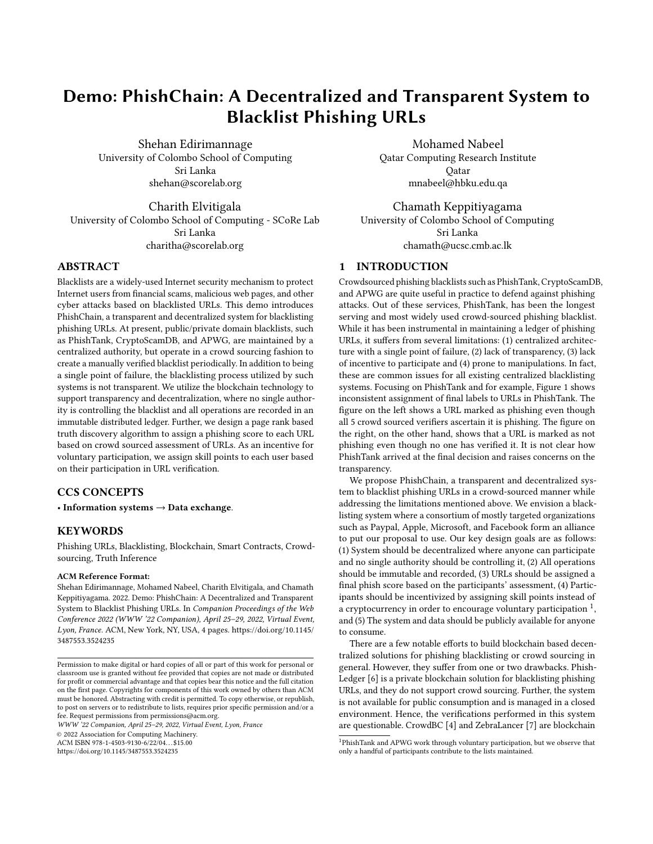#### WWW '22 Companion, April 25–29, 2022, Virtual Event, Lyon, France **Edirimannage and Nabeel et al.**

<span id="page-1-0"></span>



#### Figure 1: PhishTank inconsistent examples

based crowd sourcing systems, but they rely on a cryptocurrency to maintain the functionality.

Demonstration Scenarios: PhishChain is designed as the next generation decentralized phishing blacklisting system. We show the following three use cases. (1) URL verification, (2) URL detailed dashboard and transaction, and (3) URL verification graph and timeline along with the phish score and verifier skill points.

# 2 SYSTEM ARCHITECTURE

### 2.1 Overall System Design

Figure [2](#page-2-0) shows the overall system architecture. The key components in the system are blockchain network, smart contracts, truth discovery algorithm, and API services modules. The system supports three main functions in addition to user and system management functionality: (1) URL submission, (2) URL verification and (3) URL lookup.

Blockchain Network Module: Blockchain network is the backbone of the decentralized infrastructure. Each node in our blockchain network is either a validator or a normal node. A validator node validates every transaction whereas a normal node is a read-only participant. Note that the validation node only participate in the blockchain block verification process similar to committing data to the blockchain ledger, whereas the verifier participates in the URL verification process itself. Istanbul Byzantine Fault Tolerance is utilized as the consensus algorithm since our threat model assumes that there can be malicious participants. In order to meet our system goals, a consortium type blockchain system called, Quorum [\[1\]](#page-3-4), is employed as the blockchain network. Tessera [\[2\]](#page-3-5) is used to manage transactions of the Quorum network.

Smart Contract Module: The crowd source functionality is implemented using smart contracts (Solidity version 0.5.0). We categorize the smart contracts into three main groups: (1) user management, (2) URL management and (3) URL verification.

Truth Discovery Module: In our crowd sourcing environment, URL verifiers are the workers and the task is to assess if a URL is phishing or non phishing. Due to the varying degree of expertise and experience of verifiers, one cannot simply take, for example, the majority answer as the final phish score of a URL. Instead, a truth discovery algorithm which takes potentially conflicting

status for a URL and verifier information, and arrives at the final phish score, should be employed. We observe that existing truth discovery algorithms developed by the database community [\[5\]](#page-3-6) are performing poorly on our problem as these algorithms assume that the majority of the verifiers respond to each URL verification task, which is not true for verifying URLs. Our retrospective analysis of PhishTank URLs show that only a handful of verifiers verify a given URL even though there are thousands of them altogether. Hence, we design a new truth discovery algorithm by leveraging page ranking (PR) algorithm on verifier-verifier graph. We construct the verifier-verifier graph by using the "follower" relationship. We define verifier  $v_1$  follows  $v_2$  for a given URL if  $v_1$  verifies the URL before  $v_2$ . A directed edge from  $v_1$  to  $v_2$  is created in this case. The generated graph represent real world relationships among users which captures how users are following others and how they are being followed. Applying the page rank algorithm on top of this graph computes a rank, a real value number between 0 and 1, for each node (i.e. user), indicating how important it is with respect to the whole user population. It follows the intuition that, the more the number of followers are, the more recognition a user receive from its peers. We utilize the computed ranks to calculate the weighted voting score for each URL and assess if it is phishing or not.

Table [1](#page-2-1) shows how our algorithm outperforms in comparison to popular truth discovery algorithms on a real-world dataset obtained from PhishTank. We collect URLs submitted and verified in PhishTank from January  $1^{st}$  2020 to December 23<sup>rd</sup> 2020. The cleaned dataset contains 17,000 phishing URLs and 6,000 non phish-ing URLs<sup>[2](#page-1-1)</sup>. We scrape the additional information of each of these URLs to identify the verifiers and their order of verification. We use a balanced dataset of 6,000 URLs from each class for the evaluation

We use our PR based algorithm to assign skill points to verifiers as well as final phish score to URLs. The skill points of verifiers are computed based on the verifier reputation score returned by the truth discovery algorithm and the proportion of correctly labeled URLs. The phish score of a URL is computed with the weighted score of phishing and non phishing verifiers.

Note that in PhishChain system, we enforce transparency and consistency on the data by following the consensus algorithm. In

<span id="page-1-1"></span><sup>&</sup>lt;sup>2</sup>This dataset includes both consisted and non-consistent data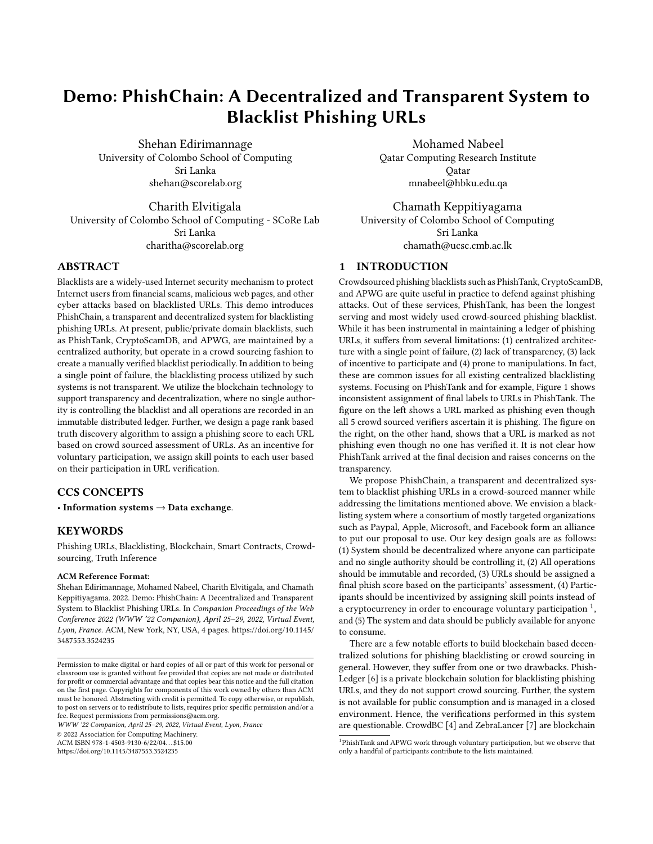<span id="page-2-0"></span>Demo: PhishChain: A Decentralized and Transparent System to Blacklist Phishing URLs WWW '22 Companion, April 25–29, 2022, Virtual Event, Lyon, France



# Figure 2: High Level System Design

other words, all the data related to URLs (URLs themselves, votes, status) on the blockchain is consistent and hardened from unauthorized modifications. While our system has a separate truth discovery server for URL verification due to the practical limitations in the Solidity framework utilized, as the algorithm and the data are publicly available and verifiable, any user can verify the results produced by the URL verification process is indeed correct.

<span id="page-2-1"></span>Table 1: Truth Discovery Algorithm Comparison

| Algorithm    | Acc.   | Prec.  | Rec.   |
|--------------|--------|--------|--------|
| Our Approach | 95.45% | 96.74% | 94.31% |
| ЕM           | 93.71% | 91.01% | 97.75% |
| GLAD         | 93.98% | 91.72% | 97.39% |

API Services Module: This module facilitates the communication with the blockchain network. The demo web application we build is a consumer of this API.

#### 3 DEMONSTRATION

In this section, we describe the main use cases of our system. We setup a consortium blockchain consisting of 7 validation nodes each possessing a copy of the blockchain ledger and participating in validating each transaction. In a real-world setup, these validation nodes are to be hosted by organizations mostly targeted by phishers (e.g. Paypal, Facebook, Microsoft) as such a system is in their best interest to defend against phishing attacks and a collective effort is likely to yield a significantly better blacklist compared to having individual systems.

# 3.1 URL Verification

Any user can sign up and participate in the process of submission and verification of URLs. Figure [3](#page-2-2) shows the UI for the verification of a given URL as phishing or not phishing. Once user submits their verdict, the validation nodes validate the transaction adhering to the consensus algorithm resulting the transaction shown in Figure [4.](#page-3-7) Once verified, if there are at least 3 votes for the URL, truth discovery model is invoked and assigns the ULR's calculated score where a positive score indicates that the URL is a phishing

<span id="page-2-2"></span>

Figure 3: UI for URL Verification

URL. Note that the users in here are real-world users with varying degree of domain expertise who may either submit URLs or verify whether the URL is phishing or not. Further, in order to limit the abuse of the system, PhishChain enforces that each URL submitted to the system should be accompanied with a valid email referring to the URL  $^3$  $^3$ .

# 3.2 URL Detailed Dashboard

Figure [5](#page-3-8) shows the details of the URL submitted by user 1, and it is verified by users 3 and 4 as phishing and users 2 and 5 as non phishing. The system assigns an overall final phishing score of 0.3452 based on PR based truth discovery algorithm. Since it is a positive value, the system concludes that the URL is a phishing URL at that point in time.

# 3.3 URL Verification Graph and Timeline

Figure [6](#page-3-9) and Figure [7](#page-3-10) show the verification graph and the timeline of verification respectively. Based on the participation in the system and the proportion of accurately labeled URLs, each user is assigned

<span id="page-2-3"></span><sup>&</sup>lt;sup>3</sup> Similar to existing blocklists, the goal of PhishChain to assess suspicious URLs found in likely phishing emails.